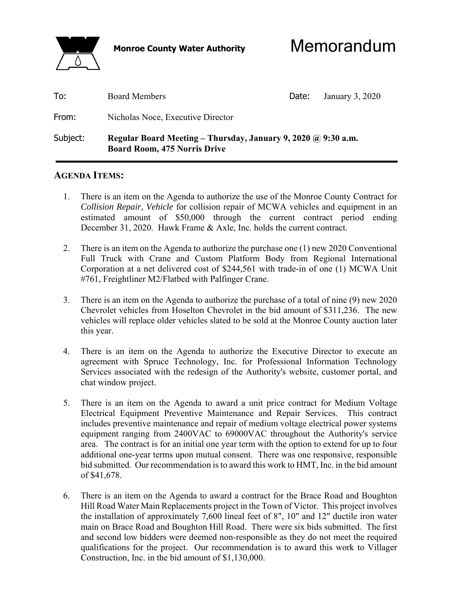

**Monroe County Water Authority** Memorandum

| To:      | <b>Board Members</b>                                                                                        | Date: | January 3, 2020 |
|----------|-------------------------------------------------------------------------------------------------------------|-------|-----------------|
| From:    | Nicholas Noce, Executive Director                                                                           |       |                 |
| Subject: | Regular Board Meeting – Thursday, January 9, 2020 $\omega$ 9:30 a.m.<br><b>Board Room, 475 Norris Drive</b> |       |                 |

#### **AGENDA ITEMS:**

- 1. There is an item on the Agenda to authorize the use of the Monroe County Contract for *Collision Repair, Vehicle* for collision repair of MCWA vehicles and equipment in an estimated amount of \$50,000 through the current contract period ending December 31, 2020. Hawk Frame & Axle, Inc. holds the current contract.
- 2. There is an item on the Agenda to authorize the purchase one (1) new 2020 Conventional Full Truck with Crane and Custom Platform Body from Regional International Corporation at a net delivered cost of \$244,561 with trade-in of one (1) MCWA Unit #761, Freightliner M2/Flatbed with Palfinger Crane.
- 3. There is an item on the Agenda to authorize the purchase of a total of nine (9) new 2020 Chevrolet vehicles from Hoselton Chevrolet in the bid amount of \$311,236. The new vehicles will replace older vehicles slated to be sold at the Monroe County auction later this year.
- 4. There is an item on the Agenda to authorize the Executive Director to execute an agreement with Spruce Technology, Inc. for Professional Information Technology Services associated with the redesign of the Authority's website, customer portal, and chat window project.
- 5. There is an item on the Agenda to award a unit price contract for Medium Voltage Electrical Equipment Preventive Maintenance and Repair Services. This contract includes preventive maintenance and repair of medium voltage electrical power systems equipment ranging from 2400VAC to 69000VAC throughout the Authority's service area. The contract is for an initial one year term with the option to extend for up to four additional one-year terms upon mutual consent. There was one responsive, responsible bid submitted. Our recommendation is to award this work to HMT, Inc. in the bid amount of \$41,678.
- 6. There is an item on the Agenda to award a contract for the Brace Road and Boughton Hill Road Water Main Replacements project in the Town of Victor. This project involves the installation of approximately 7,600 lineal feet of 8", 10" and 12" ductile iron water main on Brace Road and Boughton Hill Road. There were six bids submitted. The first and second low bidders were deemed non-responsible as they do not meet the required qualifications for the project. Our recommendation is to award this work to Villager Construction, Inc. in the bid amount of \$1,130,000.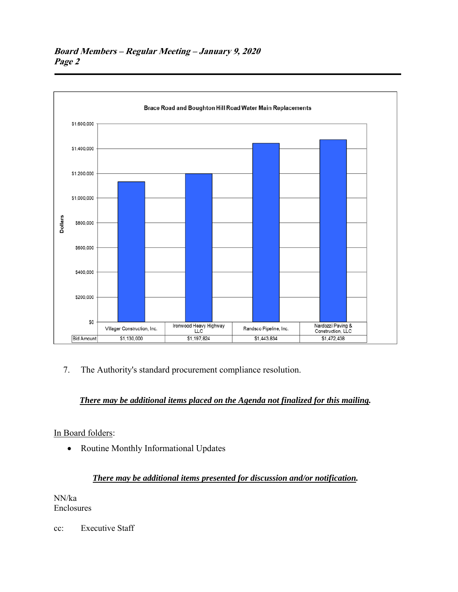

#### **Board Members – Regular Meeting – January 9, 2020 Page 2**

7. The Authority's standard procurement compliance resolution.

## *There may be additional items placed on the Agenda not finalized for this mailing.*

## In Board folders:

Routine Monthly Informational Updates

## *There may be additional items presented for discussion and/or notification.*

NN/ka Enclosures

cc: Executive Staff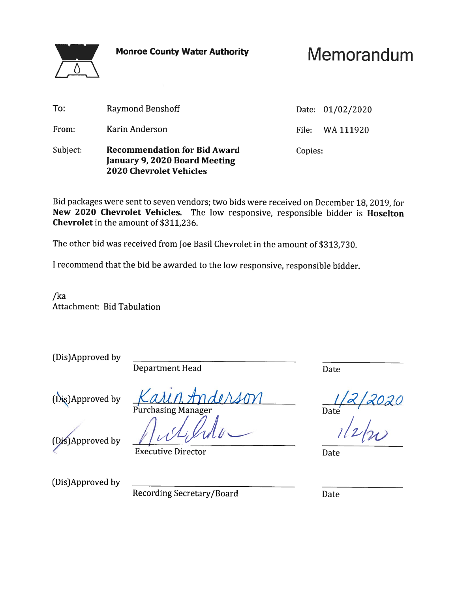**Monroe County Water Authority** 



Memorandum

| Subject: | <b>Recommendation for Bid Award</b><br>January 9, 2020 Board Meeting<br><b>2020 Chevrolet Vehicles</b> | Copies:          |  |
|----------|--------------------------------------------------------------------------------------------------------|------------------|--|
| From:    | Karin Anderson                                                                                         | File: WA 111920  |  |
| To:      | Raymond Benshoff                                                                                       | Date: 01/02/2020 |  |

Bid packages were sent to seven vendors; two bids were received on December 18, 2019, for New 2020 Chevrolet Vehicles. The low responsive, responsible bidder is Hoselton Chevrolet in the amount of \$311,236.

The other bid was received from Joe Basil Chevrolet in the amount of \$313,730.

I recommend that the bid be awarded to the low responsive, responsible bidder.

 $/ka$ Attachment: Bid Tabulation

| (Dis)Approved by                     | Department Head                                                  | Date         |
|--------------------------------------|------------------------------------------------------------------|--------------|
| (Dis)Approved by<br>(Dis)Approved by | Kaun Anderson<br>Purchasing Manager<br><b>Executive Director</b> | Date<br>Date |
| (Dis)Approved by                     | Recording Secretary/Board                                        | Date         |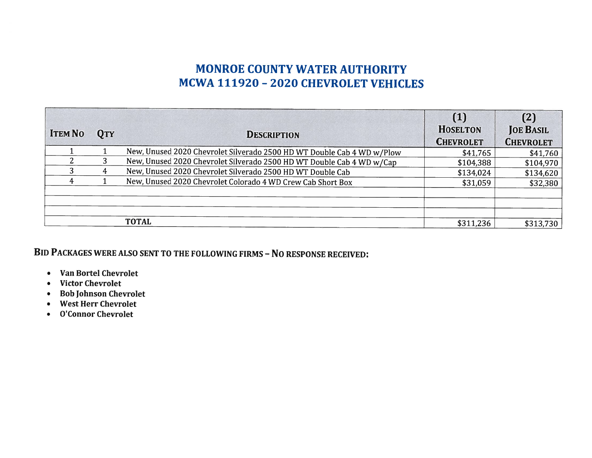# **MONROE COUNTY WATER AUTHORITY** MCWA 111920 - 2020 CHEVROLET VEHICLES

| <b>ITEM NO</b> | <b>OTY</b> | <b>DESCRIPTION</b>                                                     | (1)<br><b>HOSELTON</b><br><b>CHEVROLET</b> | (2)<br><b>JOE BASIL</b><br><b>CHEVROLET</b> |
|----------------|------------|------------------------------------------------------------------------|--------------------------------------------|---------------------------------------------|
|                |            | New, Unused 2020 Chevrolet Silverado 2500 HD WT Double Cab 4 WD w/Plow | \$41,765                                   | \$41,760                                    |
|                | 3          | New, Unused 2020 Chevrolet Silverado 2500 HD WT Double Cab 4 WD w/Cap  | \$104,388                                  | \$104,970                                   |
|                | 4          | New, Unused 2020 Chevrolet Silverado 2500 HD WT Double Cab             | \$134,024                                  | \$134,620                                   |
|                |            | New, Unused 2020 Chevrolet Colorado 4 WD Crew Cab Short Box            | \$31,059                                   | \$32,380                                    |
|                |            |                                                                        |                                            |                                             |
|                |            | <b>TOTAL</b>                                                           | \$311,236                                  | \$313,730                                   |

BID PACKAGES WERE ALSO SENT TO THE FOLLOWING FIRMS - NO RESPONSE RECEIVED:

- Van Bortel Chevrolet
- Victor Chevrolet
- Bob Johnson Chevrolet
- West Herr Chevrolet
- O'Connor Chevrolet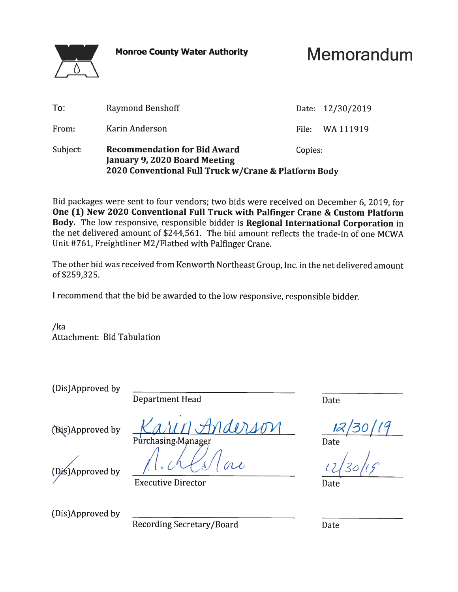**Monroe County Water Authority** 

Memorandum

|          | 2020 Conventional Full Truck w/Crane & Platform Body                 |  |                  |  |
|----------|----------------------------------------------------------------------|--|------------------|--|
| Subject: | <b>Recommendation for Bid Award</b><br>January 9, 2020 Board Meeting |  | Copies:          |  |
| From:    | Karin Anderson                                                       |  | File: WA 111919  |  |
| To:      | <b>Raymond Benshoff</b>                                              |  | Date: 12/30/2019 |  |

Bid packages were sent to four vendors; two bids were received on December 6, 2019, for One (1) New 2020 Conventional Full Truck with Palfinger Crane & Custom Platform Body. The low responsive, responsible bidder is Regional International Corporation in the net delivered amount of \$244,561. The bid amount reflects the trade-in of one MCWA Unit #761, Freightliner M2/Flatbed with Palfinger Crane.

The other bid was received from Kenworth Northeast Group, Inc. in the net delivered amount of \$259,325.

I recommend that the bid be awarded to the low responsive, responsible bidder.

 $/ka$ Attachment: Bid Tabulation

(Dis)Approved by

**Department Head** 

(Dis)Approved by

Purchasing Manager

(Dis)Approved by

**Executive Director** 

(Dis)Approved by

Recording Secretary/Board

Date

Date

Date